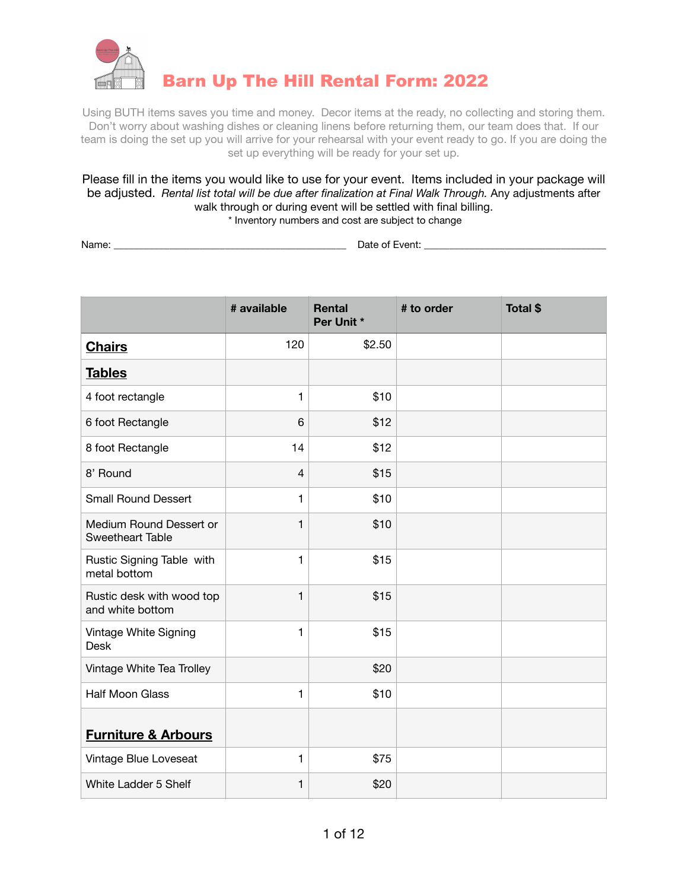

Using BUTH items saves you time and money. Decor items at the ready, no collecting and storing them. Don't worry about washing dishes or cleaning linens before returning them, our team does that. If our team is doing the set up you will arrive for your rehearsal with your event ready to go. If you are doing the set up everything will be ready for your set up.

Please fill in the items you would like to use for your event. Items included in your package will be adjusted. *Rental list total will be due after finalization at Final Walk Through.* Any adjustments after walk through or during event will be settled with final billing. \* Inventory numbers and cost are subject to change

Name: \_\_\_\_\_\_\_\_\_\_\_\_\_\_\_\_\_\_\_\_\_\_\_\_\_\_\_\_\_\_\_\_\_\_\_\_\_\_\_\_\_\_\_\_\_\_ Date of Event: \_\_\_\_\_\_\_\_\_\_\_\_\_\_\_\_\_\_\_\_\_\_\_\_\_\_\_\_\_\_\_\_\_\_\_\_

|                                                    | # available  | <b>Rental</b><br>Per Unit * | # to order | Total \$ |
|----------------------------------------------------|--------------|-----------------------------|------------|----------|
| <b>Chairs</b>                                      | 120          | \$2.50                      |            |          |
| <b>Tables</b>                                      |              |                             |            |          |
| 4 foot rectangle                                   | $\mathbf{1}$ | \$10                        |            |          |
| 6 foot Rectangle                                   | 6            | \$12                        |            |          |
| 8 foot Rectangle                                   | 14           | \$12                        |            |          |
| 8' Round                                           | 4            | \$15                        |            |          |
| <b>Small Round Dessert</b>                         | $\mathbf{1}$ | \$10                        |            |          |
| Medium Round Dessert or<br><b>Sweetheart Table</b> | 1            | \$10                        |            |          |
| Rustic Signing Table with<br>metal bottom          | $\mathbf{1}$ | \$15                        |            |          |
| Rustic desk with wood top<br>and white bottom      | $\mathbf{1}$ | \$15                        |            |          |
| Vintage White Signing<br><b>Desk</b>               | $\mathbf{1}$ | \$15                        |            |          |
| Vintage White Tea Trolley                          |              | \$20                        |            |          |
| <b>Half Moon Glass</b>                             | $\mathbf{1}$ | \$10                        |            |          |
| <b>Furniture &amp; Arbours</b>                     |              |                             |            |          |
| Vintage Blue Loveseat                              | 1            | \$75                        |            |          |
| White Ladder 5 Shelf                               | 1            | \$20                        |            |          |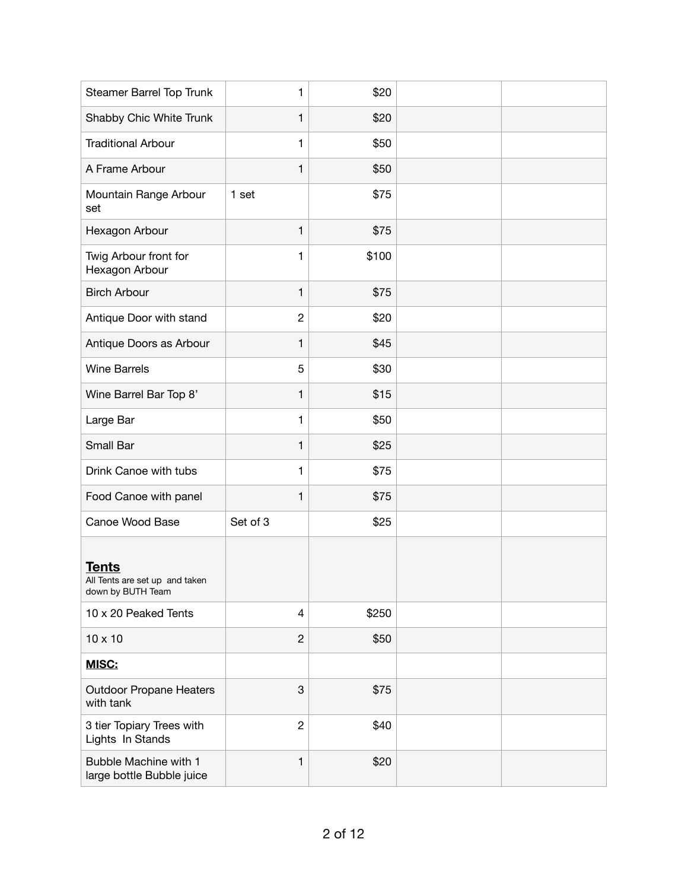| Steamer Barrel Top Trunk                                            | $\mathbf{1}$   | \$20  |  |
|---------------------------------------------------------------------|----------------|-------|--|
| Shabby Chic White Trunk                                             | $\mathbf{1}$   | \$20  |  |
| <b>Traditional Arbour</b>                                           | 1              | \$50  |  |
| A Frame Arbour                                                      | $\mathbf{1}$   | \$50  |  |
| Mountain Range Arbour<br>set                                        | 1 set          | \$75  |  |
| Hexagon Arbour                                                      | $\mathbf{1}$   | \$75  |  |
| Twig Arbour front for<br>Hexagon Arbour                             | 1              | \$100 |  |
| <b>Birch Arbour</b>                                                 | $\mathbf{1}$   | \$75  |  |
| Antique Door with stand                                             | $\overline{c}$ | \$20  |  |
| Antique Doors as Arbour                                             | $\mathbf{1}$   | \$45  |  |
| <b>Wine Barrels</b>                                                 | 5              | \$30  |  |
| Wine Barrel Bar Top 8'                                              | $\mathbf{1}$   | \$15  |  |
| Large Bar                                                           | $\mathbf{1}$   | \$50  |  |
| Small Bar                                                           | $\mathbf{1}$   | \$25  |  |
| Drink Canoe with tubs                                               | $\mathbf{1}$   | \$75  |  |
| Food Canoe with panel                                               | $\mathbf{1}$   | \$75  |  |
| Canoe Wood Base                                                     | Set of 3       | \$25  |  |
| <b>Tents</b><br>All Tents are set up and taken<br>down by BUTH Team |                |       |  |
| 10 x 20 Peaked Tents                                                | 4              | \$250 |  |
| $10 \times 10$                                                      | $\mathbf{2}$   | \$50  |  |
| <b>MISC:</b>                                                        |                |       |  |
| <b>Outdoor Propane Heaters</b><br>with tank                         | 3              | \$75  |  |
| 3 tier Topiary Trees with<br>Lights In Stands                       | $\overline{c}$ | \$40  |  |
| Bubble Machine with 1<br>large bottle Bubble juice                  | $\mathbf{1}$   | \$20  |  |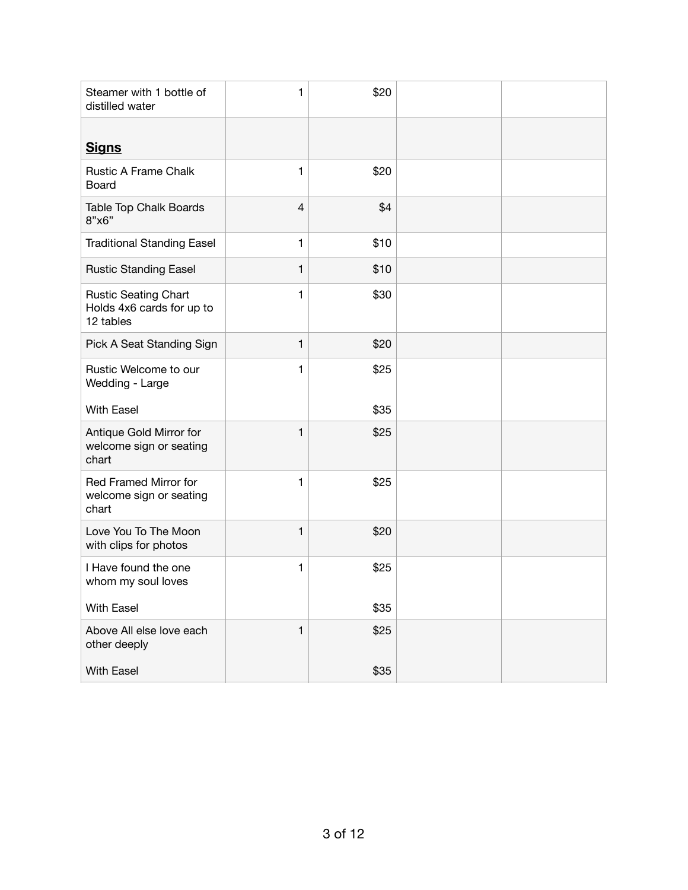| Steamer with 1 bottle of<br>distilled water                           | 1            | \$20 |  |
|-----------------------------------------------------------------------|--------------|------|--|
| <b>Signs</b>                                                          |              |      |  |
| <b>Rustic A Frame Chalk</b><br>Board                                  | 1            | \$20 |  |
| Table Top Chalk Boards<br>8"x6"                                       | 4            | \$4  |  |
| <b>Traditional Standing Easel</b>                                     | $\mathbf{1}$ | \$10 |  |
| <b>Rustic Standing Easel</b>                                          | 1            | \$10 |  |
| <b>Rustic Seating Chart</b><br>Holds 4x6 cards for up to<br>12 tables | 1            | \$30 |  |
| Pick A Seat Standing Sign                                             | 1            | \$20 |  |
| Rustic Welcome to our<br>Wedding - Large                              | 1            | \$25 |  |
| <b>With Easel</b>                                                     |              | \$35 |  |
| Antique Gold Mirror for<br>welcome sign or seating<br>chart           | 1            | \$25 |  |
| Red Framed Mirror for<br>welcome sign or seating<br>chart             | 1            | \$25 |  |
| Love You To The Moon<br>with clips for photos                         | 1            | \$20 |  |
| I Have found the one<br>whom my soul loves                            | 1            | \$25 |  |
| <b>With Easel</b>                                                     |              | \$35 |  |
| Above All else love each<br>other deeply                              | 1            | \$25 |  |
| With Easel                                                            |              | \$35 |  |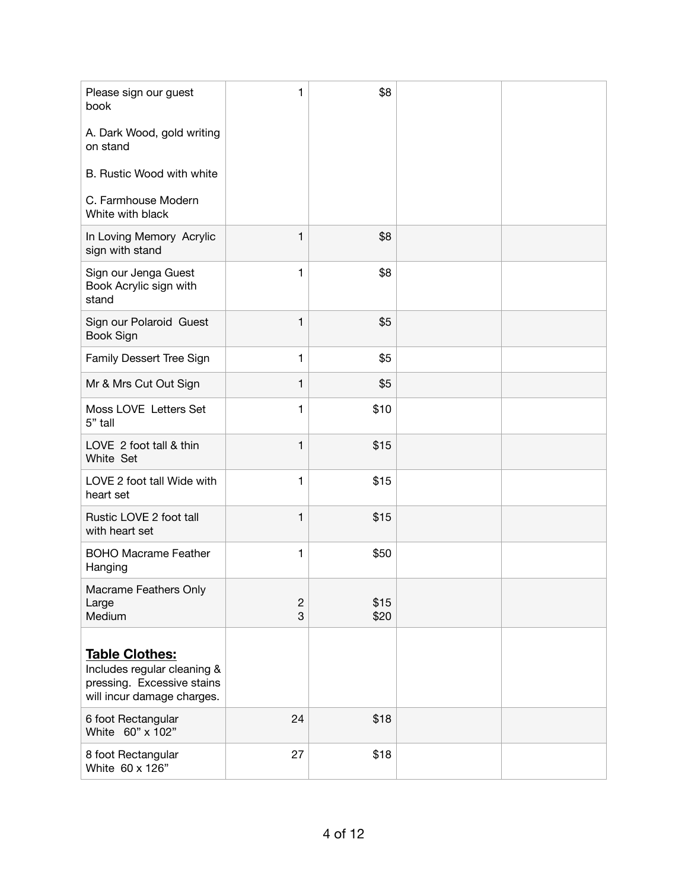| Please sign our guest<br>book                                                                                    | 1                   | \$8          |  |
|------------------------------------------------------------------------------------------------------------------|---------------------|--------------|--|
| A. Dark Wood, gold writing<br>on stand                                                                           |                     |              |  |
| B. Rustic Wood with white                                                                                        |                     |              |  |
| C. Farmhouse Modern<br>White with black                                                                          |                     |              |  |
| In Loving Memory Acrylic<br>sign with stand                                                                      | 1                   | \$8          |  |
| Sign our Jenga Guest<br>Book Acrylic sign with<br>stand                                                          | 1                   | \$8          |  |
| Sign our Polaroid Guest<br>Book Sign                                                                             | $\mathbf{1}$        | \$5          |  |
| Family Dessert Tree Sign                                                                                         | $\mathbf{1}$        | \$5          |  |
| Mr & Mrs Cut Out Sign                                                                                            | $\mathbf{1}$        | \$5          |  |
| Moss LOVE Letters Set<br>5" tall                                                                                 | $\mathbf{1}$        | \$10         |  |
| LOVE 2 foot tall & thin<br>White Set                                                                             | 1                   | \$15         |  |
| LOVE 2 foot tall Wide with<br>heart set                                                                          | 1                   | \$15         |  |
| Rustic LOVE 2 foot tall<br>with heart set                                                                        | $\mathbf{1}$        | \$15         |  |
| <b>BOHO Macrame Feather</b><br>Hanging                                                                           | 1                   | \$50         |  |
| Macrame Feathers Only<br>Large<br>Medium                                                                         | $\overline{c}$<br>3 | \$15<br>\$20 |  |
| <b>Table Clothes:</b><br>Includes regular cleaning &<br>pressing. Excessive stains<br>will incur damage charges. |                     |              |  |
| 6 foot Rectangular<br>White 60" x 102"                                                                           | 24                  | \$18         |  |
| 8 foot Rectangular<br>White 60 x 126"                                                                            | 27                  | \$18         |  |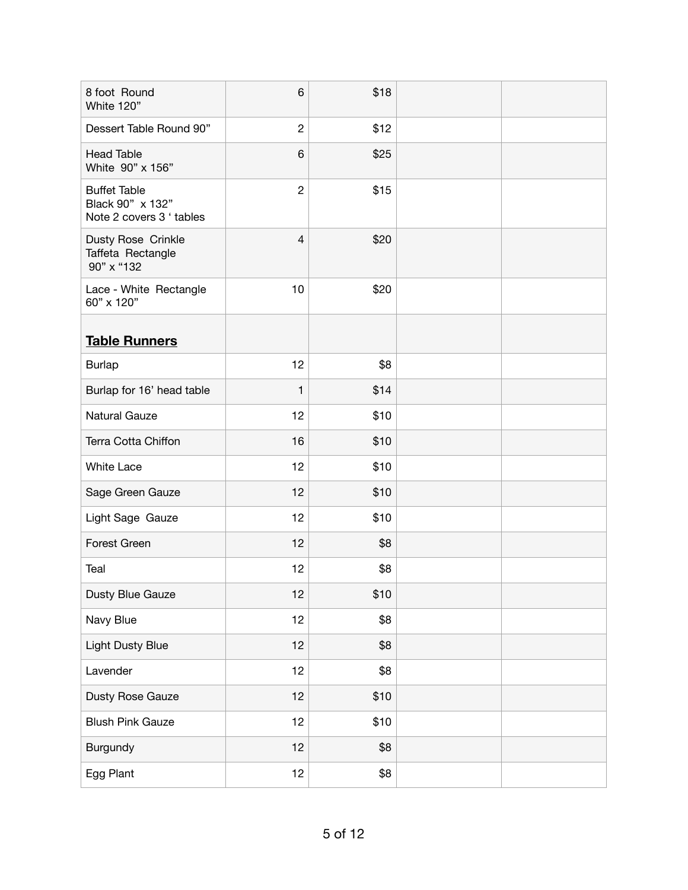| 8 foot Round<br>White 120"                                          | 6               | \$18 |  |
|---------------------------------------------------------------------|-----------------|------|--|
| Dessert Table Round 90"                                             | $\overline{c}$  | \$12 |  |
| <b>Head Table</b><br>White 90" x 156"                               | $\,6$           | \$25 |  |
| <b>Buffet Table</b><br>Black 90" x 132"<br>Note 2 covers 3 ' tables | $\overline{c}$  | \$15 |  |
| Dusty Rose Crinkle<br>Taffeta Rectangle<br>90" x "132               | $\overline{4}$  | \$20 |  |
| Lace - White Rectangle<br>60" x 120"                                | 10              | \$20 |  |
| <b>Table Runners</b>                                                |                 |      |  |
| <b>Burlap</b>                                                       | 12              | \$8  |  |
| Burlap for 16' head table                                           | $\mathbf{1}$    | \$14 |  |
| <b>Natural Gauze</b>                                                | 12              | \$10 |  |
| Terra Cotta Chiffon                                                 | 16              | \$10 |  |
| <b>White Lace</b>                                                   | 12              | \$10 |  |
| Sage Green Gauze                                                    | 12              | \$10 |  |
| Light Sage Gauze                                                    | 12              | \$10 |  |
| Forest Green                                                        | 12              | \$8  |  |
| Teal                                                                | 12              | \$8  |  |
| Dusty Blue Gauze                                                    | 12              | \$10 |  |
| Navy Blue                                                           | 12 <sub>2</sub> | \$8  |  |
| Light Dusty Blue                                                    | 12 <sub>2</sub> | \$8  |  |
| Lavender                                                            | 12 <sub>2</sub> | \$8  |  |
| Dusty Rose Gauze                                                    | 12 <sub>2</sub> | \$10 |  |
| <b>Blush Pink Gauze</b>                                             | 12              | \$10 |  |
| Burgundy                                                            | 12 <sub>2</sub> | \$8  |  |
| Egg Plant                                                           | 12 <sub>2</sub> | \$8  |  |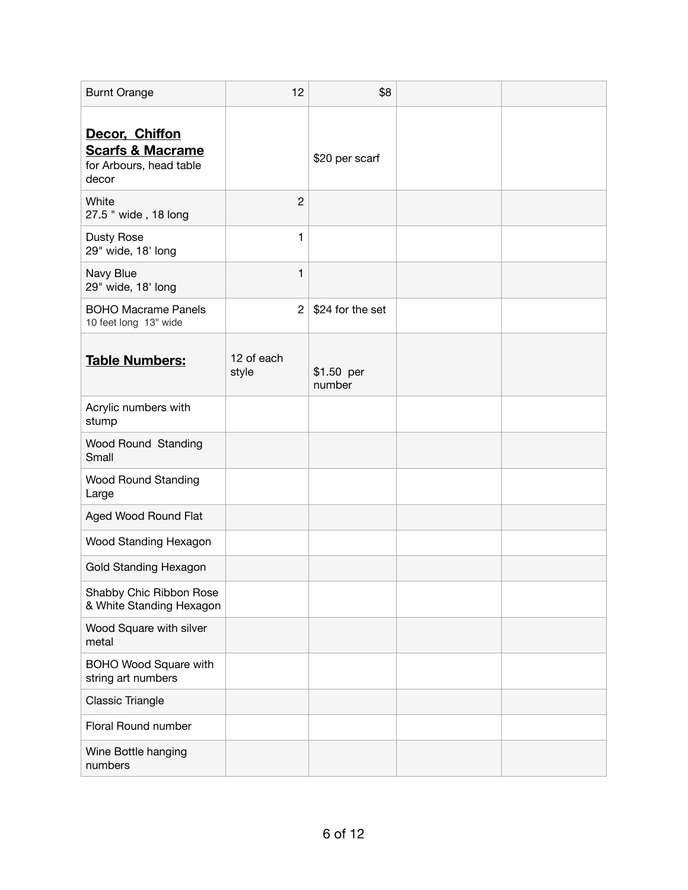| <b>Burnt Orange</b>                                                               | 12                  | \$8                  |  |
|-----------------------------------------------------------------------------------|---------------------|----------------------|--|
| Decor, Chiffon<br><b>Scarfs &amp; Macrame</b><br>for Arbours, head table<br>decor |                     | \$20 per scarf       |  |
| White<br>27.5 " wide, 18 long                                                     | $\overline{2}$      |                      |  |
| <b>Dusty Rose</b><br>29" wide, 18' long                                           | $\mathbf{1}$        |                      |  |
| Navy Blue<br>29" wide, 18' long                                                   | 1                   |                      |  |
| <b>BOHO Macrame Panels</b><br>10 feet long 13" wide                               | $\overline{2}$      | \$24 for the set     |  |
| <b>Table Numbers:</b>                                                             | 12 of each<br>style | \$1.50 per<br>number |  |
| Acrylic numbers with<br>stump                                                     |                     |                      |  |
| Wood Round Standing<br>Small                                                      |                     |                      |  |
| <b>Wood Round Standing</b><br>Large                                               |                     |                      |  |
| Aged Wood Round Flat                                                              |                     |                      |  |
| Wood Standing Hexagon                                                             |                     |                      |  |
| <b>Gold Standing Hexagon</b>                                                      |                     |                      |  |
| Shabby Chic Ribbon Rose<br>& White Standing Hexagon                               |                     |                      |  |
| Wood Square with silver<br>metal                                                  |                     |                      |  |
| BOHO Wood Square with<br>string art numbers                                       |                     |                      |  |
| Classic Triangle                                                                  |                     |                      |  |
| Floral Round number                                                               |                     |                      |  |
| Wine Bottle hanging<br>numbers                                                    |                     |                      |  |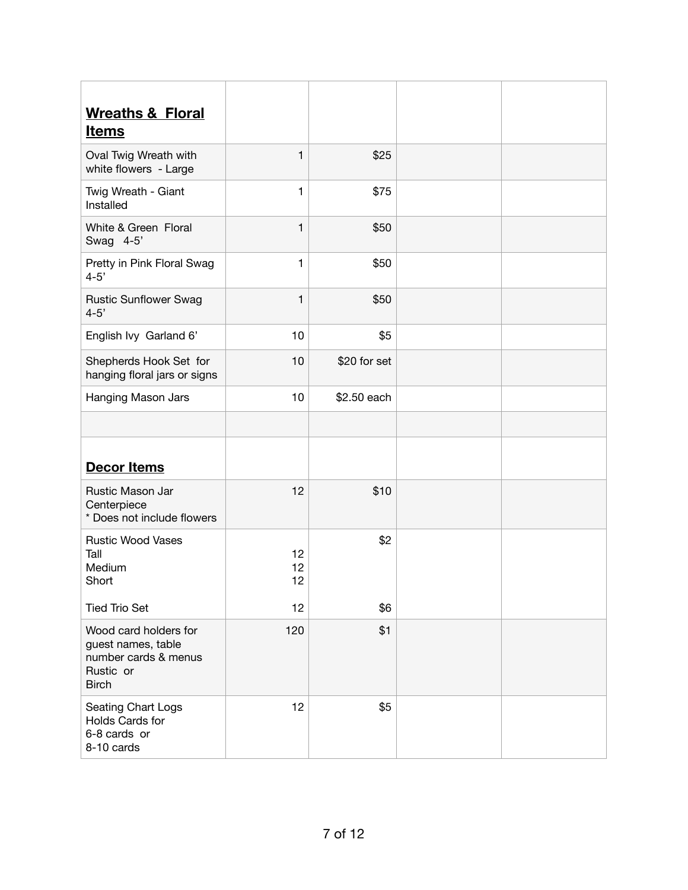| <b>Wreaths &amp; Floral</b><br><b>Items</b>                                                      |                |              |  |
|--------------------------------------------------------------------------------------------------|----------------|--------------|--|
| Oval Twig Wreath with<br>white flowers - Large                                                   | 1              | \$25         |  |
| Twig Wreath - Giant<br>Installed                                                                 | $\mathbf{1}$   | \$75         |  |
| White & Green Floral<br>Swag 4-5'                                                                | $\mathbf{1}$   | \$50         |  |
| Pretty in Pink Floral Swag<br>$4 - 5'$                                                           | $\mathbf{1}$   | \$50         |  |
| <b>Rustic Sunflower Swag</b><br>$4 - 5'$                                                         | 1              | \$50         |  |
| English Ivy Garland 6'                                                                           | 10             | \$5          |  |
| Shepherds Hook Set for<br>hanging floral jars or signs                                           | 10             | \$20 for set |  |
| Hanging Mason Jars                                                                               | 10             | \$2.50 each  |  |
|                                                                                                  |                |              |  |
| <b>Decor Items</b>                                                                               |                |              |  |
| Rustic Mason Jar<br>Centerpiece<br>* Does not include flowers                                    | 12             | \$10         |  |
| <b>Rustic Wood Vases</b><br>Tall<br>Medium<br>Short                                              | 12<br>12<br>12 | \$2          |  |
| <b>Tied Trio Set</b>                                                                             | 12             | \$6          |  |
| Wood card holders for<br>guest names, table<br>number cards & menus<br>Rustic or<br><b>Birch</b> | 120            | \$1          |  |
| Seating Chart Logs<br>Holds Cards for<br>6-8 cards or<br>8-10 cards                              | 12             | \$5          |  |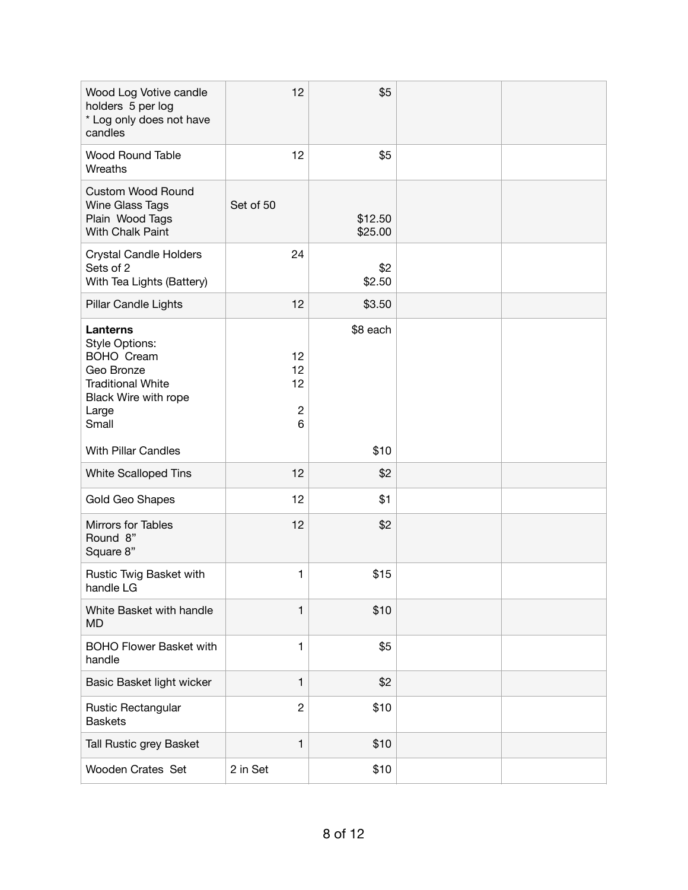| Wood Log Votive candle<br>holders 5 per log<br>* Log only does not have<br>candles                                                         | 12                                | \$5                |  |
|--------------------------------------------------------------------------------------------------------------------------------------------|-----------------------------------|--------------------|--|
| <b>Wood Round Table</b><br>Wreaths                                                                                                         | 12                                | \$5                |  |
| <b>Custom Wood Round</b><br>Wine Glass Tags<br>Plain Wood Tags<br>With Chalk Paint                                                         | Set of 50                         | \$12.50<br>\$25.00 |  |
| <b>Crystal Candle Holders</b><br>Sets of 2<br>With Tea Lights (Battery)                                                                    | 24                                | \$2<br>\$2.50      |  |
| Pillar Candle Lights                                                                                                                       | 12                                | \$3.50             |  |
| Lanterns<br><b>Style Options:</b><br><b>BOHO Cream</b><br>Geo Bronze<br><b>Traditional White</b><br>Black Wire with rope<br>Large<br>Small | 12<br>12<br>12<br>$\sqrt{2}$<br>6 | \$8 each           |  |
| <b>With Pillar Candles</b>                                                                                                                 |                                   | \$10               |  |
| <b>White Scalloped Tins</b>                                                                                                                | 12                                | \$2                |  |
| Gold Geo Shapes                                                                                                                            | 12                                | \$1                |  |
| Mirrors for Tables<br>Round 8"<br>Square 8"                                                                                                | 12                                | \$2                |  |
| Rustic Twig Basket with<br>handle LG                                                                                                       | 1                                 | \$15               |  |
| White Basket with handle<br><b>MD</b>                                                                                                      | $\mathbf{1}$                      | \$10               |  |
| <b>BOHO Flower Basket with</b><br>handle                                                                                                   | $\mathbf{1}$                      | \$5                |  |
| Basic Basket light wicker                                                                                                                  | $\mathbf{1}$                      | \$2                |  |
| Rustic Rectangular<br><b>Baskets</b>                                                                                                       | $\overline{2}$                    | \$10               |  |
| Tall Rustic grey Basket                                                                                                                    | $\mathbf{1}$                      | \$10               |  |
| Wooden Crates Set                                                                                                                          | 2 in Set                          | \$10               |  |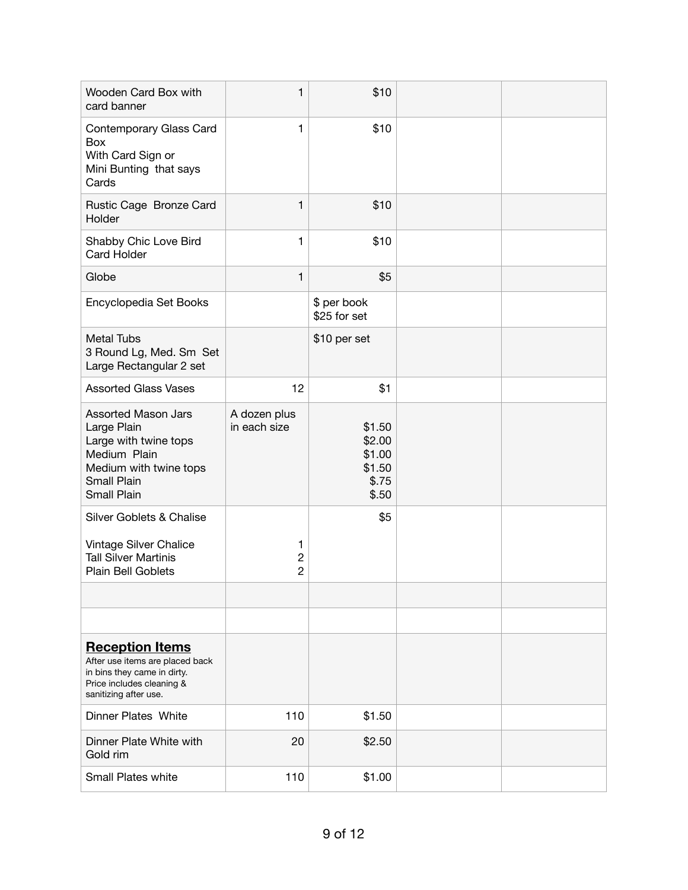| Wooden Card Box with<br>card banner                                                                                                               | $\mathbf{1}$                          | \$10                                                   |  |
|---------------------------------------------------------------------------------------------------------------------------------------------------|---------------------------------------|--------------------------------------------------------|--|
| Contemporary Glass Card<br>Box<br>With Card Sign or<br>Mini Bunting that says<br>Cards                                                            | $\mathbf{1}$                          | \$10                                                   |  |
| Rustic Cage Bronze Card<br>Holder                                                                                                                 | 1                                     | \$10                                                   |  |
| Shabby Chic Love Bird<br><b>Card Holder</b>                                                                                                       | $\mathbf{1}$                          | \$10                                                   |  |
| Globe                                                                                                                                             | $\mathbf{1}$                          | \$5                                                    |  |
| Encyclopedia Set Books                                                                                                                            |                                       | \$ per book<br>\$25 for set                            |  |
| <b>Metal Tubs</b><br>3 Round Lg, Med. Sm Set<br>Large Rectangular 2 set                                                                           |                                       | \$10 per set                                           |  |
| <b>Assorted Glass Vases</b>                                                                                                                       | 12                                    | \$1                                                    |  |
| <b>Assorted Mason Jars</b><br>Large Plain<br>Large with twine tops<br>Medium Plain<br>Medium with twine tops<br><b>Small Plain</b><br>Small Plain | A dozen plus<br>in each size          | \$1.50<br>\$2.00<br>\$1.00<br>\$1.50<br>\$.75<br>\$.50 |  |
| Silver Goblets & Chalise                                                                                                                          |                                       | \$5                                                    |  |
| Vintage Silver Chalice<br><b>Tall Silver Martinis</b><br>Plain Bell Goblets                                                                       | 1<br>$\overline{c}$<br>$\overline{2}$ |                                                        |  |
|                                                                                                                                                   |                                       |                                                        |  |
|                                                                                                                                                   |                                       |                                                        |  |
| <b>Reception Items</b><br>After use items are placed back<br>in bins they came in dirty.<br>Price includes cleaning &<br>sanitizing after use.    |                                       |                                                        |  |
| <b>Dinner Plates White</b>                                                                                                                        | 110                                   | \$1.50                                                 |  |
| Dinner Plate White with<br>Gold rim                                                                                                               | 20                                    | \$2.50                                                 |  |
| <b>Small Plates white</b>                                                                                                                         | 110                                   | \$1.00                                                 |  |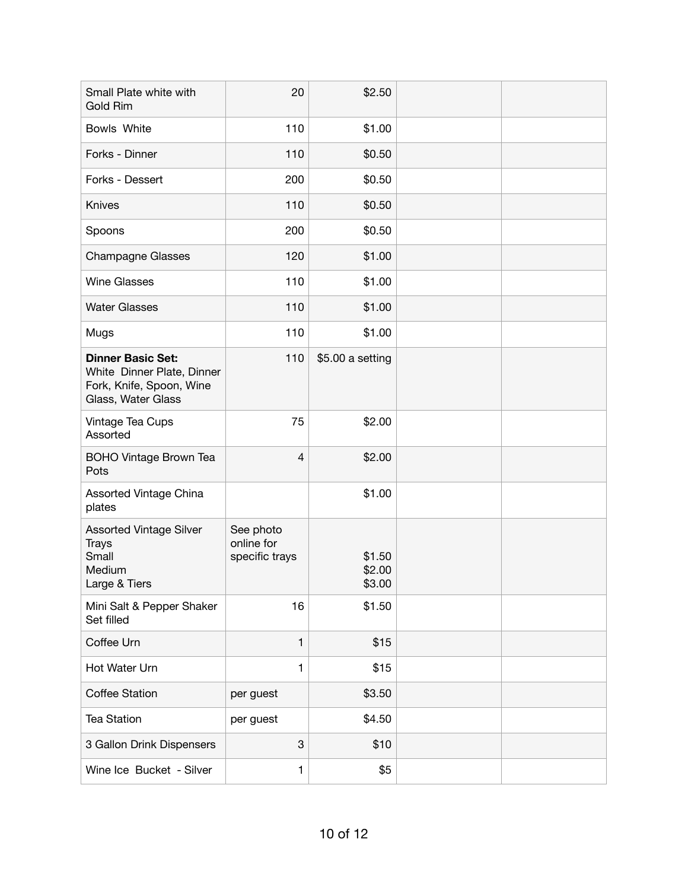| Small Plate white with<br>Gold Rim                                                                       | 20                                        | \$2.50                     |  |
|----------------------------------------------------------------------------------------------------------|-------------------------------------------|----------------------------|--|
| Bowls White                                                                                              | 110                                       | \$1.00                     |  |
| Forks - Dinner                                                                                           | 110                                       | \$0.50                     |  |
| Forks - Dessert                                                                                          | 200                                       | \$0.50                     |  |
| Knives                                                                                                   | 110                                       | \$0.50                     |  |
| Spoons                                                                                                   | 200                                       | \$0.50                     |  |
| <b>Champagne Glasses</b>                                                                                 | 120                                       | \$1.00                     |  |
| <b>Wine Glasses</b>                                                                                      | 110                                       | \$1.00                     |  |
| <b>Water Glasses</b>                                                                                     | 110                                       | \$1.00                     |  |
| Mugs                                                                                                     | 110                                       | \$1.00                     |  |
| <b>Dinner Basic Set:</b><br>White Dinner Plate, Dinner<br>Fork, Knife, Spoon, Wine<br>Glass, Water Glass | 110                                       | \$5.00 a setting           |  |
| Vintage Tea Cups<br>Assorted                                                                             | 75                                        | \$2.00                     |  |
| <b>BOHO Vintage Brown Tea</b><br>Pots                                                                    | 4                                         | \$2.00                     |  |
| Assorted Vintage China<br>plates                                                                         |                                           | \$1.00                     |  |
| Assorted Vintage Silver<br><b>Trays</b><br>Small<br>Medium<br>Large & Tiers                              | See photo<br>online for<br>specific trays | \$1.50<br>\$2.00<br>\$3.00 |  |
| Mini Salt & Pepper Shaker<br>Set filled                                                                  | 16                                        | \$1.50                     |  |
| Coffee Urn                                                                                               | $\mathbf{1}$                              | \$15                       |  |
| Hot Water Urn                                                                                            | 1                                         | \$15                       |  |
| <b>Coffee Station</b>                                                                                    | per guest                                 | \$3.50                     |  |
| <b>Tea Station</b>                                                                                       | per guest                                 | \$4.50                     |  |
| 3 Gallon Drink Dispensers                                                                                | 3                                         | \$10                       |  |
| Wine Ice Bucket - Silver                                                                                 | 1                                         | \$5                        |  |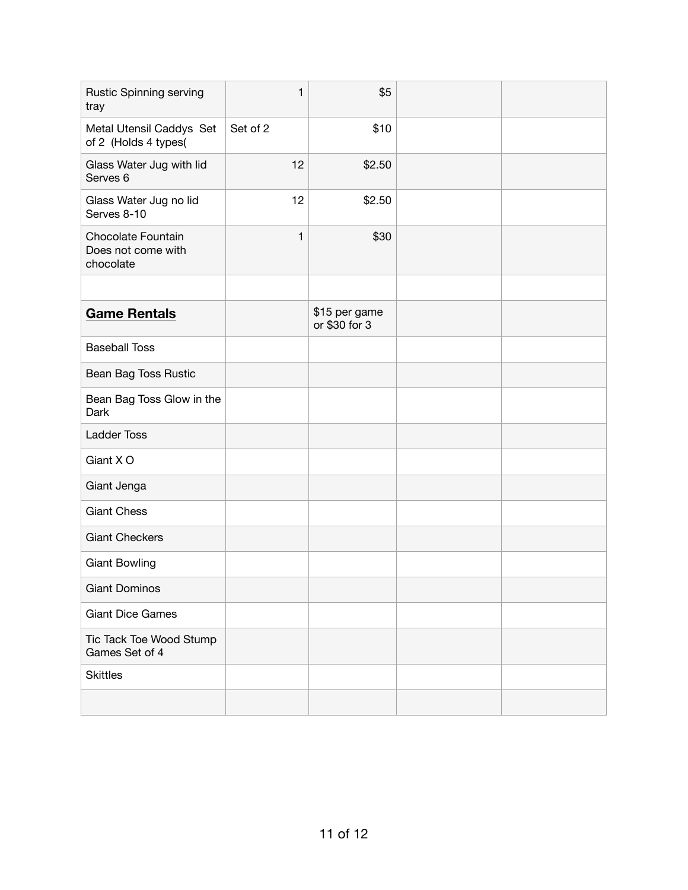| <b>Rustic Spinning serving</b><br>tray                | $\mathbf{1}$ | \$5                            |  |
|-------------------------------------------------------|--------------|--------------------------------|--|
| Metal Utensil Caddys Set<br>of 2 (Holds 4 types(      | Set of 2     | \$10                           |  |
| Glass Water Jug with lid<br>Serves <sub>6</sub>       | 12           | \$2.50                         |  |
| Glass Water Jug no lid<br>Serves 8-10                 | 12           | \$2.50                         |  |
| Chocolate Fountain<br>Does not come with<br>chocolate | $\mathbf{1}$ | \$30                           |  |
|                                                       |              |                                |  |
| <b>Game Rentals</b>                                   |              | \$15 per game<br>or \$30 for 3 |  |
| <b>Baseball Toss</b>                                  |              |                                |  |
| Bean Bag Toss Rustic                                  |              |                                |  |
| Bean Bag Toss Glow in the<br>Dark                     |              |                                |  |
| <b>Ladder Toss</b>                                    |              |                                |  |
| Giant X O                                             |              |                                |  |
| Giant Jenga                                           |              |                                |  |
| <b>Giant Chess</b>                                    |              |                                |  |
| <b>Giant Checkers</b>                                 |              |                                |  |
| <b>Giant Bowling</b>                                  |              |                                |  |
| <b>Giant Dominos</b>                                  |              |                                |  |
| <b>Giant Dice Games</b>                               |              |                                |  |
| Tic Tack Toe Wood Stump<br>Games Set of 4             |              |                                |  |
| <b>Skittles</b>                                       |              |                                |  |
|                                                       |              |                                |  |